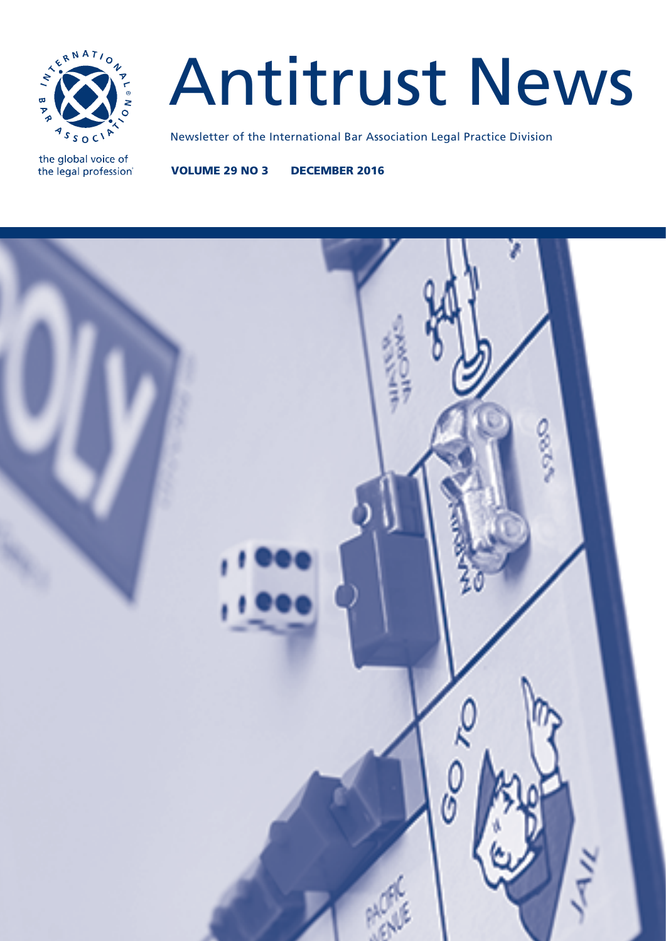

# Antitrust News

the global voice of the legal profession® Newsletter of the International Bar Association Legal Practice Division

VOLUME 29 NO 3 DECEMBER 2016

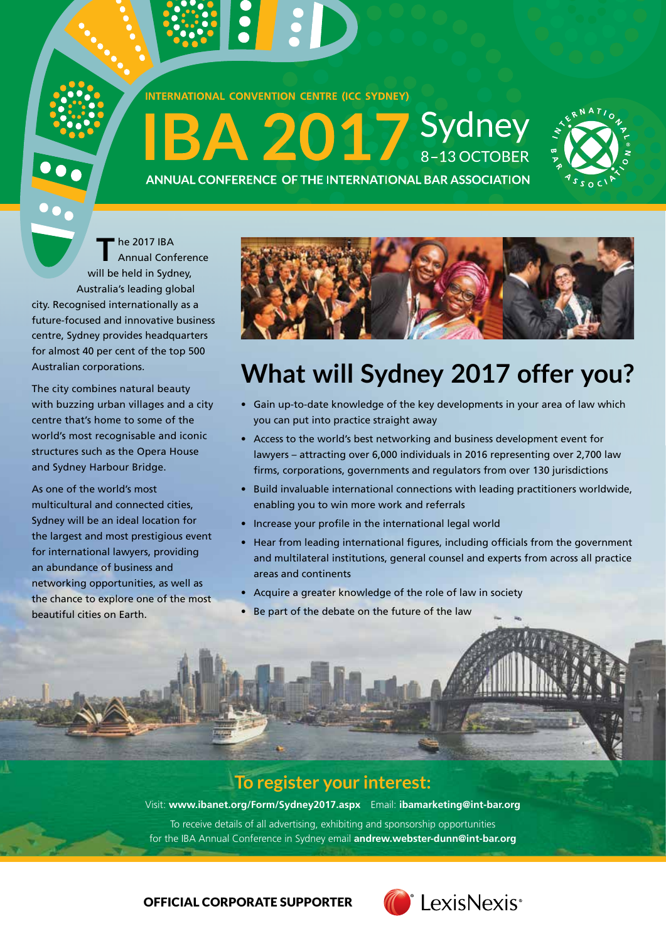

**SI :D** 





ANNUAL CONFERENCE OF THE INTERNATIONAL BAR ASSOCIATION

**T** he 2017 IBA Annual Conference will be held in Sydney, Australia's leading global city. Recognised internationally as a future-focused and innovative business centre, Sydney provides headquarters for almost 40 per cent of the top 500 Australian corporations.

The city combines natural beauty with buzzing urban villages and a city centre that's home to some of the world's most recognisable and iconic structures such as the Opera House and Sydney Harbour Bridge.

As one of the world's most multicultural and connected cities, Sydney will be an ideal location for the largest and most prestigious event for international lawyers, providing an abundance of business and networking opportunities, as well as the chance to explore one of the most beautiful cities on Earth.



## **What will Sydney 2017 offer you?**

- Gain up-to-date knowledge of the key developments in your area of law which you can put into practice straight away
- Access to the world's best networking and business development event for lawyers – attracting over 6,000 individuals in 2016 representing over 2,700 law firms, corporations, governments and regulators from over 130 jurisdictions
- Build invaluable international connections with leading practitioners worldwide, enabling you to win more work and referrals
- Increase your profile in the international legal world
- Hear from leading international figures, including officials from the government and multilateral institutions, general counsel and experts from across all practice areas and continents
- Acquire a greater knowledge of the role of law in society
- Be part of the debate on the future of the law

### **To register your interest:**

Visit: **www.ibanet.org/Form/Sydney2017.aspx** Email: **ibamarketing@int-bar.org** To receive details of all advertising, exhibiting and sponsorship opportunities for the IBA Annual Conference in Sydney email **andrew.webster-dunn@int-bar.org**

OFFICIAL CORPORATE SUPPORTER

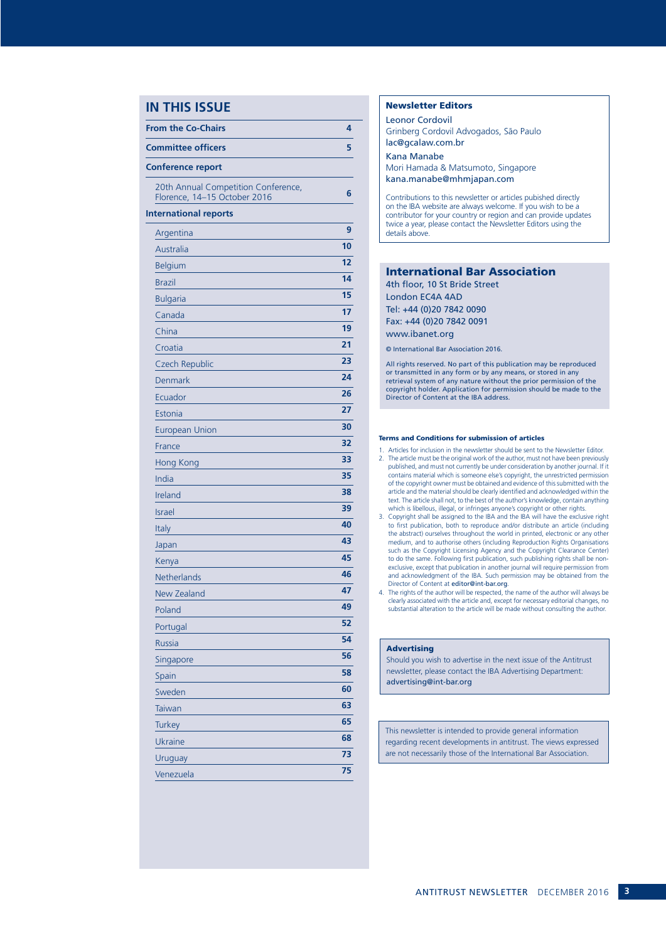#### **IN THIS ISSUE**

| <b>From the Co-Chairs</b>                                           | 4  |
|---------------------------------------------------------------------|----|
| <b>Committee officers</b>                                           | 5  |
| <b>Conference report</b>                                            |    |
| 20th Annual Competition Conference,<br>Florence, 14-15 October 2016 | 6  |
| <b>International reports</b>                                        |    |
| Argentina                                                           | 9  |
| Australia                                                           | 10 |
| <b>Belgium</b>                                                      | 12 |
| <b>Brazil</b>                                                       | 14 |
| <b>Bulgaria</b>                                                     | 15 |
| Canada                                                              | 17 |
| China                                                               | 19 |
| Croatia                                                             | 21 |
| Czech Republic                                                      | 23 |
| Denmark                                                             | 24 |
| Ecuador                                                             | 26 |
| Estonia                                                             | 27 |
| <b>European Union</b>                                               | 30 |
| France                                                              | 32 |
| Hong Kong                                                           | 33 |
| India                                                               | 35 |
| Ireland                                                             | 38 |
| <b>Israel</b>                                                       | 39 |
| Italy                                                               | 40 |
| Japan                                                               | 43 |
| Kenya                                                               | 45 |
| Netherlands                                                         | 46 |
| <b>New Zealand</b>                                                  | 47 |
| Poland                                                              | 49 |
| Portugal                                                            | 52 |
| Russia                                                              | 54 |
| Singapore                                                           | 56 |
| Spain                                                               | 58 |
| Sweden                                                              | 60 |
| Taiwan                                                              | 63 |
| <b>Turkey</b>                                                       | 65 |
| Ukraine                                                             | 68 |
| Uruguay                                                             | 73 |
| Venezuela                                                           | 75 |

#### Newsletter Editors

Leonor Cordovil Grinberg Cordovil Advogados, São Paulo lac@gcalaw.com.br

Kana Manabe Mori Hamada & Matsumoto, Singapore kana.manabe@mhmjapan.com

Contributions to this newsletter or articles pubished directly on the IBA website are always welcome. If you wish to be a contributor for your country or region and can provide updates twice a year, please contact the Newsletter Editors using the details above.

#### International Bar Association

4th floor, 10 St Bride Street London EC4A 4AD Tel: +44 (0)20 7842 0090 Fax: +44 (0)20 7842 0091 www.ibanet.org

© International Bar Association 2016.

All rights reserved. No part of this publication may be reproduced or transmitted in any form or by any means, or stored in any retrieval system of any nature without the prior permission of the copyright holder. Application for permission should be made to the Director of Content at the IBA address.

#### Terms and Conditions for submission of articles

- 1. Articles for inclusion in the newsletter should be sent to the Newsletter Editor. 2. The article must be the original work of the author, must not have been previously published, and must not currently be under consideration by another journal. If it contains material which is someone else's copyright, the unrestricted permission of the copyright owner must be obtained and evidence of this submitted with the article and the material should be clearly identified and acknowledged within the text. The article shall not, to the best of the author's knowledge, contain anything which is libellous, illegal, or infringes anyone's copyright or other rights.
- 3. Copyright shall be assigned to the IBA and the IBA will have the exclusive right to first publication, both to reproduce and/or distribute an article (including the abstract) ourselves throughout the world in printed, electronic or any other medium, and to authorise others (including Reproduction Rights Organisations such as the Copyright Licensing Agency and the Copyright Clearance Center) to do the same. Following first publication, such publishing rights shall be nonexclusive, except that publication in another journal will require permission from and acknowledgment of the IBA. Such permission may be obtained from the Director of Content at editor@int-bar.org.
- 4. The rights of the author will be respected, the name of the author will always be clearly associated with the article and, except for necessary editorial changes, no substantial alteration to the article will be made without consulting the author.

#### **Advertising**

Should you wish to advertise in the next issue of the Antitrust newsletter, please contact the IBA Advertising Department: advertising@int-bar.org

This newsletter is intended to provide general information regarding recent developments in antitrust. The views expressed are not necessarily those of the International Bar Association.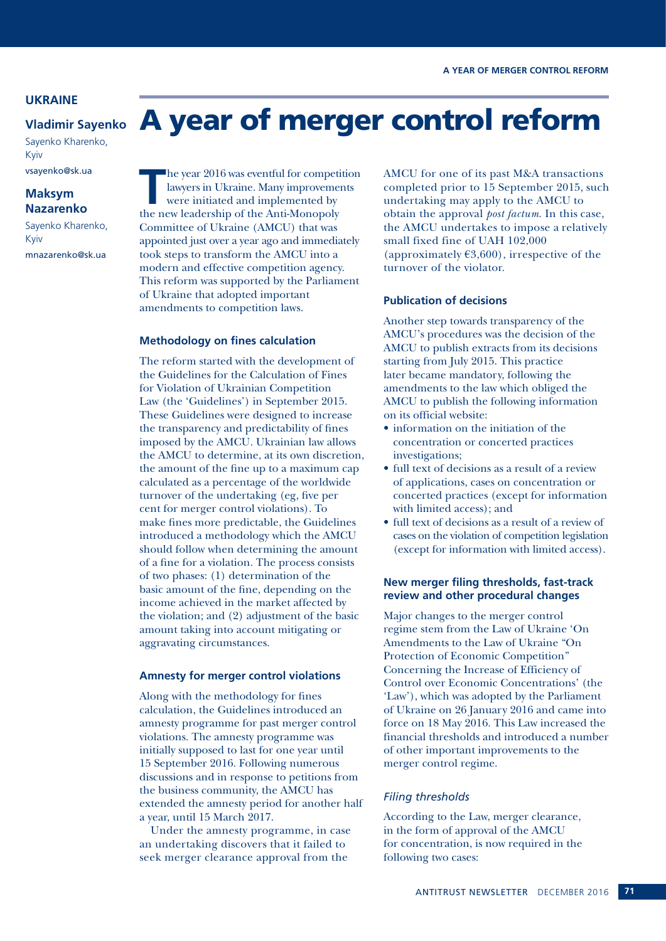#### **UKRAINE**

#### **Vladimir Sayenko**

Sayenko Kharenko, Kyiv vsayenko@sk.ua

#### **Maksym Nazarenko**

Sayenko Kharenko, Kyiv mnazarenko@sk.ua

**The year 2016 was eventful for competition<br>
lawyers in Ukraine. Many improvements<br>
were initiated and implemented by<br>
the now loadership of the Anti Monopoly** lawyers in Ukraine. Many improvements were initiated and implemented by the new leadership of the Anti-Monopoly Committee of Ukraine (AMCU) that was appointed just over a year ago and immediately took steps to transform the AMCU into a modern and effective competition agency. This reform was supported by the Parliament of Ukraine that adopted important amendments to competition laws.

#### **Methodology on fines calculation**

The reform started with the development of the Guidelines for the Calculation of Fines for Violation of Ukrainian Competition Law (the 'Guidelines') in September 2015. These Guidelines were designed to increase the transparency and predictability of fines imposed by the AMCU. Ukrainian law allows the AMCU to determine, at its own discretion, the amount of the fine up to a maximum cap calculated as a percentage of the worldwide turnover of the undertaking (eg, five per cent for merger control violations). To make fines more predictable, the Guidelines introduced a methodology which the AMCU should follow when determining the amount of a fine for a violation. The process consists of two phases: (1) determination of the basic amount of the fine, depending on the income achieved in the market affected by the violation; and (2) adjustment of the basic amount taking into account mitigating or aggravating circumstances.

#### **Amnesty for merger control violations**

Along with the methodology for fines calculation, the Guidelines introduced an amnesty programme for past merger control violations. The amnesty programme was initially supposed to last for one year until 15 September 2016. Following numerous discussions and in response to petitions from the business community, the AMCU has extended the amnesty period for another half a year, until 15 March 2017.

Under the amnesty programme, in case an undertaking discovers that it failed to seek merger clearance approval from the

AMCU for one of its past M&A transactions completed prior to 15 September 2015, such undertaking may apply to the AMCU to obtain the approval *post factum*. In this case, the AMCU undertakes to impose a relatively small fixed fine of UAH 102,000 (approximately  $\epsilon$ 3,600), irrespective of the turnover of the violator.

#### **Publication of decisions**

A year of merger control reform

Another step towards transparency of the AMCU's procedures was the decision of the AMCU to publish extracts from its decisions starting from July 2015. This practice later became mandatory, following the amendments to the law which obliged the AMCU to publish the following information on its official website:

- information on the initiation of the concentration or concerted practices investigations;
- full text of decisions as a result of a review of applications, cases on concentration or concerted practices (except for information with limited access); and
- full text of decisions as a result of a review of cases on the violation of competition legislation (except for information with limited access).

#### **New merger filing thresholds, fast-track review and other procedural changes**

Major changes to the merger control regime stem from the Law of Ukraine 'On Amendments to the Law of Ukraine "On Protection of Economic Competition" Concerning the Increase of Efficiency of Control over Economic Concentrations' (the 'Law'), which was adopted by the Parliament of Ukraine on 26 January 2016 and came into force on 18 May 2016. This Law increased the financial thresholds and introduced a number of other important improvements to the merger control regime.

#### *Filing thresholds*

According to the Law, merger clearance, in the form of approval of the AMCU for concentration, is now required in the following two cases: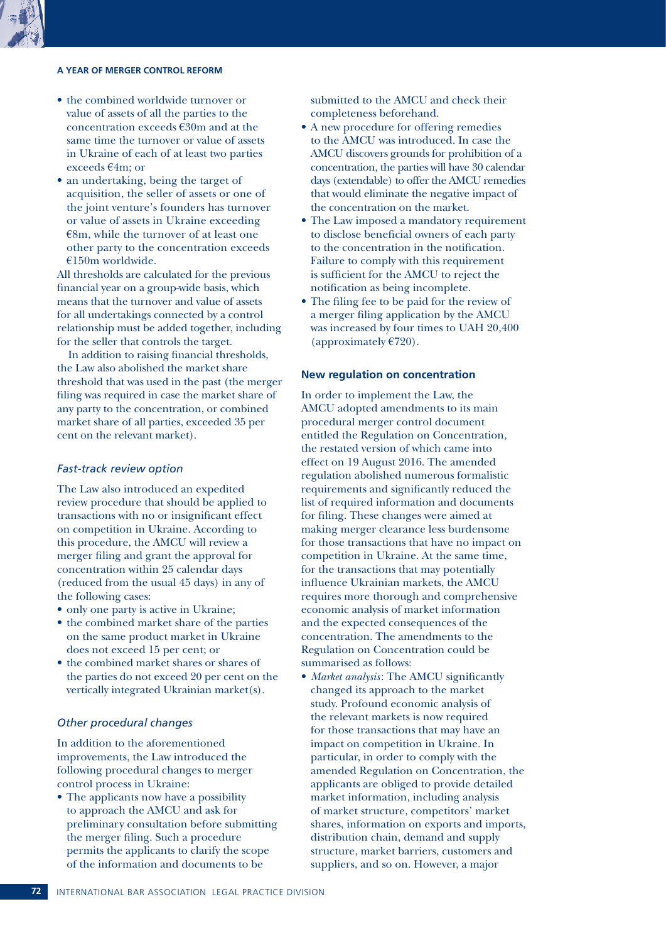

#### **A YEAR OF MERGER CONTROL REFORM**

- the combined worldwide turnover or value of assets of all the parties to the concentration exceeds €30m and at the same time the turnover or value of assets in Ukraine of each of at least two parties exceeds €4m; or
- an undertaking, being the target of acquisition, the seller of assets or one of the joint venture's founders has turnover or value of assets in Ukraine exceeding  $€8m$ , while the turnover of at least one other party to the concentration exceeds €150m worldwide.

All thresholds are calculated for the previous financial year on a group-wide basis, which means that the turnover and value of assets for all undertakings connected by a control relationship must be added together, including for the seller that controls the target.

In addition to raising financial thresholds, the Law also abolished the market share threshold that was used in the past (the merger filing was required in case the market share of any party to the concentration, or combined market share of all parties, exceeded 35 per cent on the relevant market).

#### *Fast-track review option*

The Law also introduced an expedited review procedure that should be applied to transactions with no or insignificant effect on competition in Ukraine. According to this procedure, the AMCU will review a merger filing and grant the approval for concentration within 25 calendar days (reduced from the usual 45 days) in any of the following cases:

- only one party is active in Ukraine;
- the combined market share of the parties on the same product market in Ukraine does not exceed 15 per cent; or
- the combined market shares or shares of the parties do not exceed 20 per cent on the vertically integrated Ukrainian market(s).

#### *Other procedural changes*

In addition to the aforementioned improvements, the Law introduced the following procedural changes to merger control process in Ukraine:

• The applicants now have a possibility to approach the AMCU and ask for preliminary consultation before submitting the merger filing. Such a procedure permits the applicants to clarify the scope of the information and documents to be

submitted to the AMCU and check their completeness beforehand.

- A new procedure for offering remedies to the AMCU was introduced. In case the AMCU discovers grounds for prohibition of a concentration, the parties will have 30 calendar days (extendable) to offer the AMCU remedies that would eliminate the negative impact of the concentration on the market.
- The Law imposed a mandatory requirement to disclose beneficial owners of each party to the concentration in the notification. Failure to comply with this requirement is sufficient for the AMCU to reject the notification as being incomplete.
- The filing fee to be paid for the review of a merger filing application by the AMCU was increased by four times to UAH 20,400 (approximately  $E$ 720).

#### **New regulation on concentration**

In order to implement the Law, the AMCU adopted amendments to its main procedural merger control document entitled the Regulation on Concentration, the restated version of which came into effect on 19 August 2016. The amended regulation abolished numerous formalistic requirements and significantly reduced the list of required information and documents for filing. These changes were aimed at making merger clearance less burdensome for those transactions that have no impact on competition in Ukraine. At the same time, for the transactions that may potentially influence Ukrainian markets, the AMCU requires more thorough and comprehensive economic analysis of market information and the expected consequences of the concentration. The amendments to the Regulation on Concentration could be summarised as follows:

• *Market analysis*: The AMCU significantly changed its approach to the market study. Profound economic analysis of the relevant markets is now required for those transactions that may have an impact on competition in Ukraine. In particular, in order to comply with the amended Regulation on Concentration, the applicants are obliged to provide detailed market information, including analysis of market structure, competitors' market shares, information on exports and imports, distribution chain, demand and supply structure, market barriers, customers and suppliers, and so on. However, a major